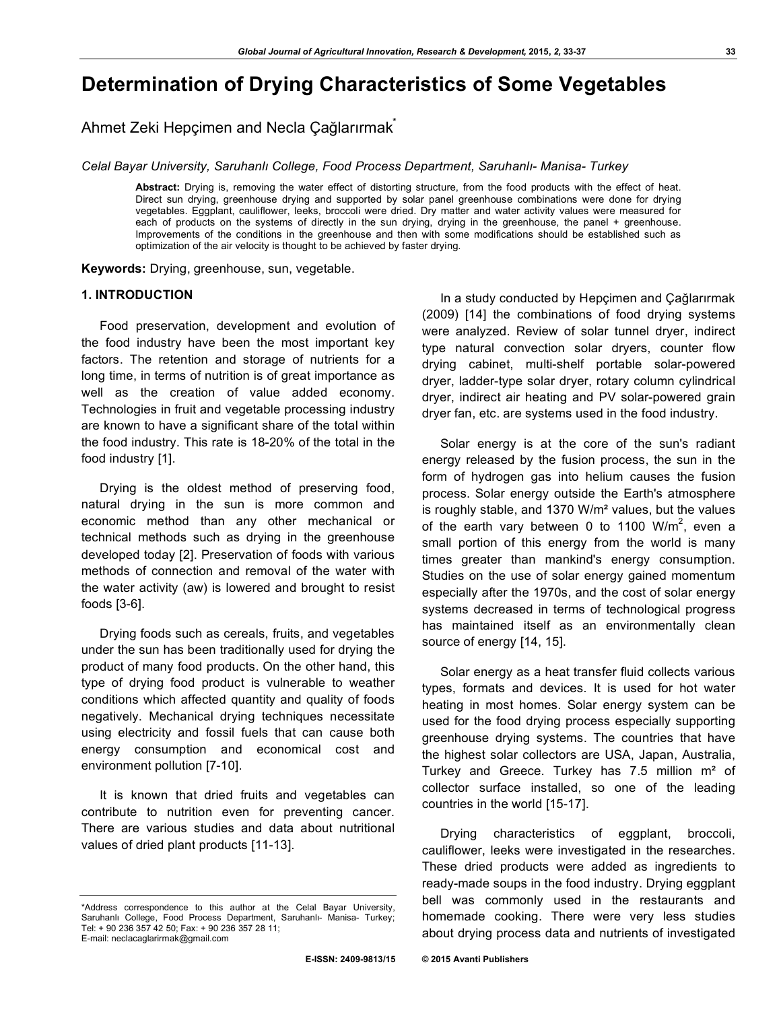# **Determination of Drying Characteristics of Some Vegetables**

Ahmet Zeki Hepçimen and Necla Çağlarırmak\*

*Celal Bayar University, Saruhanlı College, Food Process Department, Saruhanlı- Manisa- Turkey*

**Abstract:** Drying is, removing the water effect of distorting structure, from the food products with the effect of heat. Direct sun drying, greenhouse drying and supported by solar panel greenhouse combinations were done for drying vegetables. Eggplant, cauliflower, leeks, broccoli were dried. Dry matter and water activity values were measured for each of products on the systems of directly in the sun drying, drying in the greenhouse, the panel + greenhouse. Improvements of the conditions in the greenhouse and then with some modifications should be established such as optimization of the air velocity is thought to be achieved by faster drying.

**Keywords:** Drying, greenhouse, sun, vegetable.

# **1. INTRODUCTION**

Food preservation, development and evolution of the food industry have been the most important key factors. The retention and storage of nutrients for a long time, in terms of nutrition is of great importance as well as the creation of value added economy. Technologies in fruit and vegetable processing industry are known to have a significant share of the total within the food industry. This rate is 18-20% of the total in the food industry [1].

Drying is the oldest method of preserving food, natural drying in the sun is more common and economic method than any other mechanical or technical methods such as drying in the greenhouse developed today [2]. Preservation of foods with various methods of connection and removal of the water with the water activity (aw) is lowered and brought to resist foods [3-6].

Drying foods such as cereals, fruits, and vegetables under the sun has been traditionally used for drying the product of many food products. On the other hand, this type of drying food product is vulnerable to weather conditions which affected quantity and quality of foods negatively. Mechanical drying techniques necessitate using electricity and fossil fuels that can cause both energy consumption and economical cost and environment pollution [7-10].

It is known that dried fruits and vegetables can contribute to nutrition even for preventing cancer. There are various studies and data about nutritional values of dried plant products [11-13].

In a study conducted by Hepçimen and Çağlarırmak (2009) [14] the combinations of food drying systems were analyzed. Review of solar tunnel dryer, indirect type natural convection solar dryers, counter flow drying cabinet, multi-shelf portable solar-powered dryer, ladder-type solar dryer, rotary column cylindrical dryer, indirect air heating and PV solar-powered grain dryer fan, etc. are systems used in the food industry.

Solar energy is at the core of the sun's radiant energy released by the fusion process, the sun in the form of hydrogen gas into helium causes the fusion process. Solar energy outside the Earth's atmosphere is roughly stable, and 1370 W/m² values, but the values of the earth vary between 0 to 1100 W/m<sup>2</sup>, even a small portion of this energy from the world is many times greater than mankind's energy consumption. Studies on the use of solar energy gained momentum especially after the 1970s, and the cost of solar energy systems decreased in terms of technological progress has maintained itself as an environmentally clean source of energy [14, 15].

Solar energy as a heat transfer fluid collects various types, formats and devices. It is used for hot water heating in most homes. Solar energy system can be used for the food drying process especially supporting greenhouse drying systems. The countries that have the highest solar collectors are USA, Japan, Australia, Turkey and Greece. Turkey has 7.5 million m² of collector surface installed, so one of the leading countries in the world [15-17].

Drying characteristics of eggplant, broccoli, cauliflower, leeks were investigated in the researches. These dried products were added as ingredients to ready-made soups in the food industry. Drying eggplant bell was commonly used in the restaurants and homemade cooking. There were very less studies about drying process data and nutrients of investigated

<sup>\*</sup>Address correspondence to this author at the Celal Bayar University, Saruhanlı College, Food Process Department, Saruhanlı- Manisa- Turkey; Tel: + 90 236 357 42 50; Fax: + 90 236 357 28 11; E-mail: neclacaglarirmak@gmail.com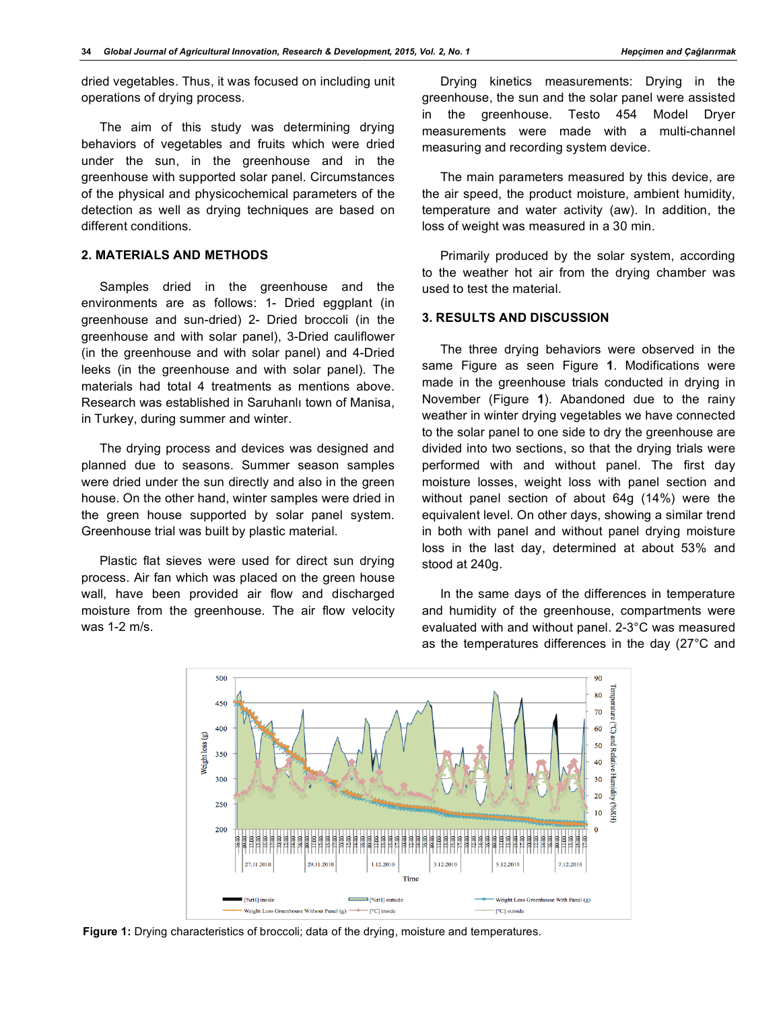dried vegetables. Thus, it was focused on including unit operations of drying process.

The aim of this study was determining drying behaviors of vegetables and fruits which were dried under the sun, in the greenhouse and in the greenhouse with supported solar panel. Circumstances of the physical and physicochemical parameters of the detection as well as drying techniques are based on different conditions.

## **2. MATERIALS AND METHODS**

Samples dried in the greenhouse and the environments are as follows: 1- Dried eggplant (in greenhouse and sun-dried) 2- Dried broccoli (in the greenhouse and with solar panel), 3-Dried cauliflower (in the greenhouse and with solar panel) and 4-Dried leeks (in the greenhouse and with solar panel). The materials had total 4 treatments as mentions above. Research was established in Saruhanlı town of Manisa, in Turkey, during summer and winter.

The drying process and devices was designed and planned due to seasons. Summer season samples were dried under the sun directly and also in the green house. On the other hand, winter samples were dried in the green house supported by solar panel system. Greenhouse trial was built by plastic material.

Plastic flat sieves were used for direct sun drying process. Air fan which was placed on the green house wall, have been provided air flow and discharged moisture from the greenhouse. The air flow velocity was 1-2 m/s.

Drying kinetics measurements: Drying in the greenhouse, the sun and the solar panel were assisted in the greenhouse. Testo 454 Model Dryer measurements were made with a multi-channel measuring and recording system device.

The main parameters measured by this device, are the air speed, the product moisture, ambient humidity, temperature and water activity (aw). In addition, the loss of weight was measured in a 30 min.

Primarily produced by the solar system, according to the weather hot air from the drying chamber was used to test the material.

# **3. RESULTS AND DISCUSSION**

The three drying behaviors were observed in the same Figure as seen Figure **1**. Modifications were made in the greenhouse trials conducted in drying in November (Figure **1**). Abandoned due to the rainy weather in winter drying vegetables we have connected to the solar panel to one side to dry the greenhouse are divided into two sections, so that the drying trials were performed with and without panel. The first day moisture losses, weight loss with panel section and without panel section of about 64g (14%) were the equivalent level. On other days, showing a similar trend in both with panel and without panel drying moisture loss in the last day, determined at about 53% and stood at 240g.



**Figure 1:** Drying characteristics of broccoli; data of the drying, moisture and temperatures.

In the same days of the differences in temperature and humidity of the greenhouse, compartments were evaluated with and without panel. 2-3°C was measured as the temperatures differences in the day (27°C and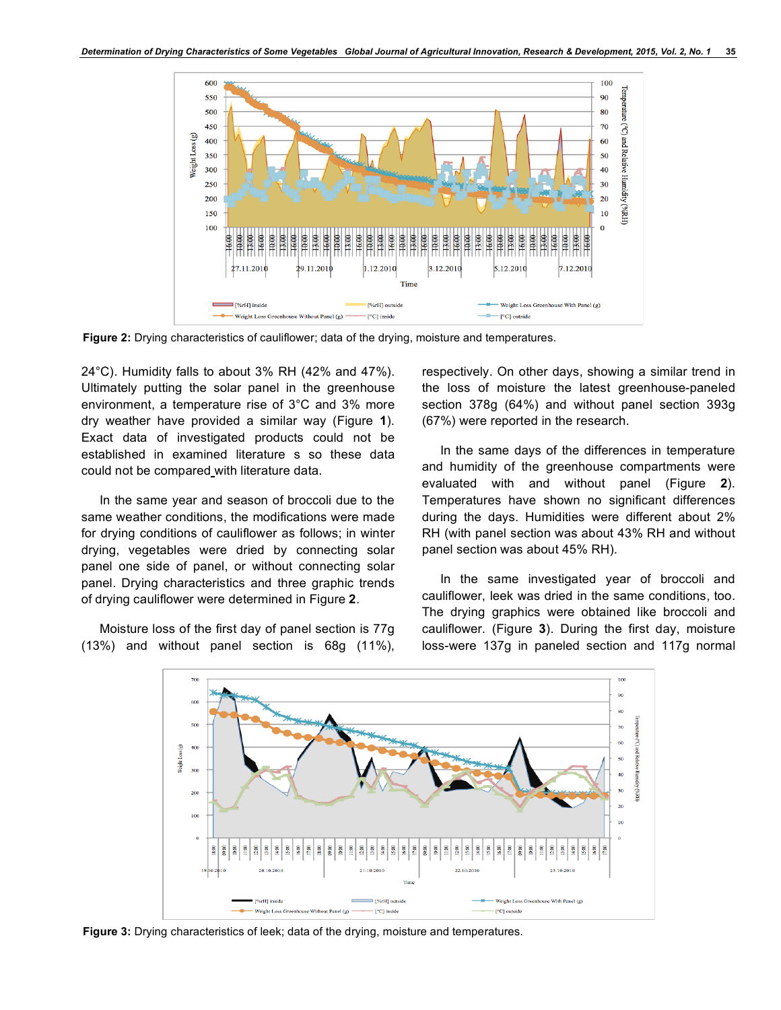

**Figure 2:** Drying characteristics of cauliflower; data of the drying, moisture and temperatures.

24°C). Humidity falls to about 3% RH (42% and 47%). Ultimately putting the solar panel in the greenhouse environment, a temperature rise of 3°C and 3% more dry weather have provided a similar way (Figure **1**). Exact data of investigated products could not be established in examined literature s so these data could not be compared with literature data.

In the same year and season of broccoli due to the same weather conditions, the modifications were made for drying conditions of cauliflower as follows; in winter drying, vegetables were dried by connecting solar panel one side of panel, or without connecting solar panel. Drying characteristics and three graphic trends of drying cauliflower were determined in Figure **2**.

Moisture loss of the first day of panel section is 77g (13%) and without panel section is 68g (11%), respectively. On other days, showing a similar trend in the loss of moisture the latest greenhouse-paneled section 378g (64%) and without panel section 393g (67%) were reported in the research.

In the same days of the differences in temperature and humidity of the greenhouse compartments were evaluated with and without panel (Figure **2**). Temperatures have shown no significant differences during the days. Humidities were different about 2% RH (with panel section was about 43% RH and without panel section was about 45% RH).

In the same investigated year of broccoli and cauliflower, leek was dried in the same conditions, too. The drying graphics were obtained like broccoli and cauliflower. (Figure **3**). During the first day, moisture loss-were 137g in paneled section and 117g normal



**Figure 3:** Drying characteristics of leek; data of the drying, moisture and temperatures.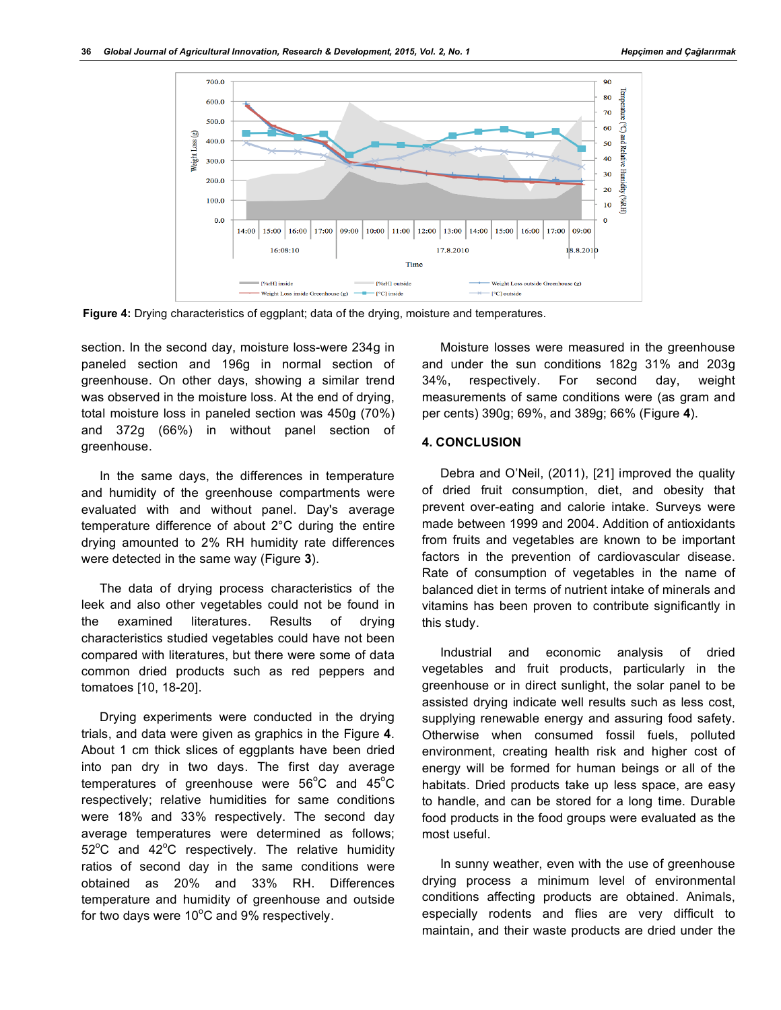

**Figure 4:** Drying characteristics of eggplant; data of the drying, moisture and temperatures.

section. In the second day, moisture loss-were 234g in paneled section and 196g in normal section of greenhouse. On other days, showing a similar trend was observed in the moisture loss. At the end of drying, total moisture loss in paneled section was 450g (70%) and 372g (66%) in without panel section of greenhouse.

In the same days, the differences in temperature and humidity of the greenhouse compartments were evaluated with and without panel. Day's average temperature difference of about 2°C during the entire drying amounted to 2% RH humidity rate differences were detected in the same way (Figure **3**).

The data of drying process characteristics of the leek and also other vegetables could not be found in the examined literatures. Results of drying characteristics studied vegetables could have not been compared with literatures, but there were some of data common dried products such as red peppers and tomatoes [10, 18-20].

Drying experiments were conducted in the drying trials, and data were given as graphics in the Figure **4**. About 1 cm thick slices of eggplants have been dried into pan dry in two days. The first day average temperatures of greenhouse were  $56^{\circ}$ C and  $45^{\circ}$ C respectively; relative humidities for same conditions were 18% and 33% respectively. The second day average temperatures were determined as follows;  $52^{\circ}$ C and  $42^{\circ}$ C respectively. The relative humidity ratios of second day in the same conditions were obtained as 20% and 33% RH. Differences temperature and humidity of greenhouse and outside for two days were  $10^{\circ}$ C and 9% respectively.

Moisture losses were measured in the greenhouse and under the sun conditions 182g 31% and 203g 34%, respectively. For second day, weight measurements of same conditions were (as gram and per cents) 390g; 69%, and 389g; 66% (Figure **4**).

### **4. CONCLUSION**

Debra and O'Neil, (2011), [21] improved the quality of dried fruit consumption, diet, and obesity that prevent over-eating and calorie intake. Surveys were made between 1999 and 2004. Addition of antioxidants from fruits and vegetables are known to be important factors in the prevention of cardiovascular disease. Rate of consumption of vegetables in the name of balanced diet in terms of nutrient intake of minerals and vitamins has been proven to contribute significantly in this study.

Industrial and economic analysis of dried vegetables and fruit products, particularly in the greenhouse or in direct sunlight, the solar panel to be assisted drying indicate well results such as less cost, supplying renewable energy and assuring food safety. Otherwise when consumed fossil fuels, polluted environment, creating health risk and higher cost of energy will be formed for human beings or all of the habitats. Dried products take up less space, are easy to handle, and can be stored for a long time. Durable food products in the food groups were evaluated as the most useful.

In sunny weather, even with the use of greenhouse drying process a minimum level of environmental conditions affecting products are obtained. Animals, especially rodents and flies are very difficult to maintain, and their waste products are dried under the